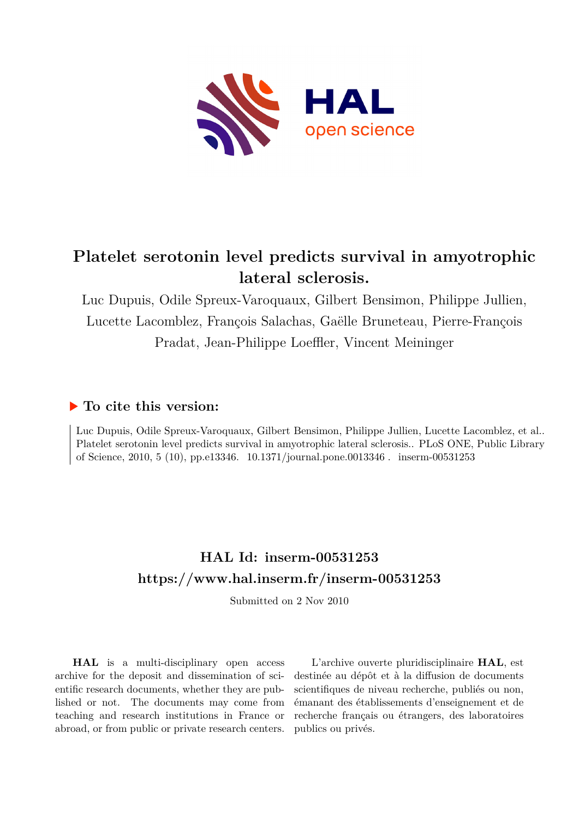

## **Platelet serotonin level predicts survival in amyotrophic lateral sclerosis.**

Luc Dupuis, Odile Spreux-Varoquaux, Gilbert Bensimon, Philippe Jullien, Lucette Lacomblez, François Salachas, Gaëlle Bruneteau, Pierre-François Pradat, Jean-Philippe Loeffler, Vincent Meininger

### **To cite this version:**

Luc Dupuis, Odile Spreux-Varoquaux, Gilbert Bensimon, Philippe Jullien, Lucette Lacomblez, et al.. Platelet serotonin level predicts survival in amyotrophic lateral sclerosis.. PLoS ONE, Public Library of Science, 2010, 5 (10), pp.e13346.  $10.1371/journal.pone.0013346$ . inserm-00531253

### **HAL Id: inserm-00531253 <https://www.hal.inserm.fr/inserm-00531253>**

Submitted on 2 Nov 2010

**HAL** is a multi-disciplinary open access archive for the deposit and dissemination of scientific research documents, whether they are published or not. The documents may come from teaching and research institutions in France or abroad, or from public or private research centers.

L'archive ouverte pluridisciplinaire **HAL**, est destinée au dépôt et à la diffusion de documents scientifiques de niveau recherche, publiés ou non, émanant des établissements d'enseignement et de recherche français ou étrangers, des laboratoires publics ou privés.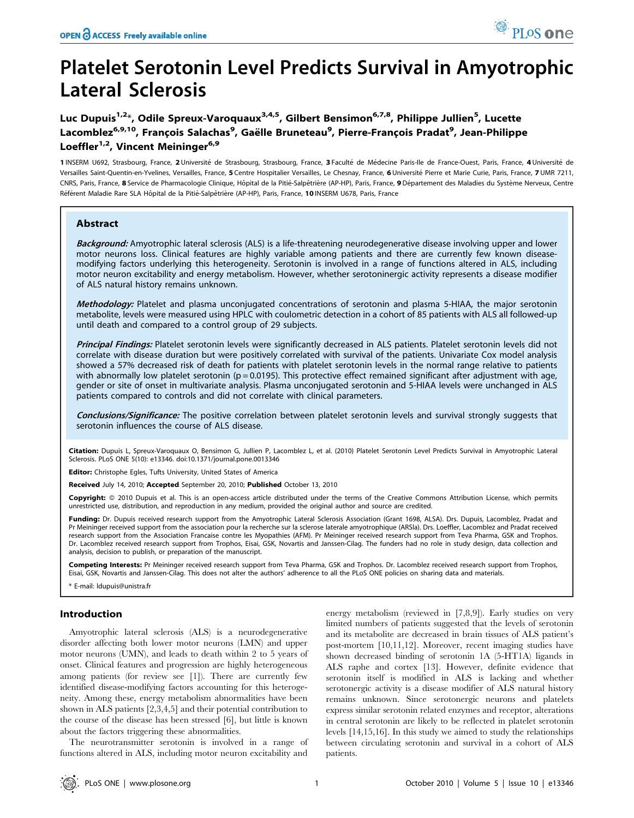# Platelet Serotonin Level Predicts Survival in Amyotrophic Lateral Sclerosis

Luc Dupuis<sup>1,2</sup>\*, Odile Spreux-Varoquaux<sup>3,4,5</sup>, Gilbert Bensimon<sup>6,7,8</sup>, Philippe Jullien<sup>5</sup>, Lucette Lacomblez<sup>6,9,10</sup>, François Salachas<sup>9</sup>, Gaëlle Bruneteau<sup>9</sup>, Pierre-François Pradat<sup>9</sup>, Jean-Philippe Loeffler<sup>1,2</sup>, Vincent Meininger<sup>6,9</sup>

1 INSERM U692, Strasbourg, France, 2 Université de Strasbourg, Strasbourg, France, 3 Faculté de Médecine Paris-Ile de France-Ouest, Paris, France, 4 Université de Versailles Saint-Quentin-en-Yvelines, Versailles, France, 5 Centre Hospitalier Versailles, Le Chesnay, France, 6 Université Pierre et Marie Curie, Paris, France, 7 UMR 7211, CNRS, Paris, France, 8 Service de Pharmacologie Clinique, Hôpital de la Pitié-Salpêtrière (AP-HP), Paris, France, 9 Département des Maladies du Système Nerveux, Centre Référent Maladie Rare SLA Hôpital de la Pitié-Salpêtrière (AP-HP), Paris, France, 10 INSERM U678, Paris, France

#### Abstract

Background: Amyotrophic lateral sclerosis (ALS) is a life-threatening neurodegenerative disease involving upper and lower motor neurons loss. Clinical features are highly variable among patients and there are currently few known diseasemodifying factors underlying this heterogeneity. Serotonin is involved in a range of functions altered in ALS, including motor neuron excitability and energy metabolism. However, whether serotoninergic activity represents a disease modifier of ALS natural history remains unknown.

Methodology: Platelet and plasma unconjugated concentrations of serotonin and plasma 5-HIAA, the major serotonin metabolite, levels were measured using HPLC with coulometric detection in a cohort of 85 patients with ALS all followed-up until death and compared to a control group of 29 subjects.

Principal Findings: Platelet serotonin levels were significantly decreased in ALS patients. Platelet serotonin levels did not correlate with disease duration but were positively correlated with survival of the patients. Univariate Cox model analysis showed a 57% decreased risk of death for patients with platelet serotonin levels in the normal range relative to patients with abnormally low platelet serotonin ( $p = 0.0195$ ). This protective effect remained significant after adjustment with age, gender or site of onset in multivariate analysis. Plasma unconjugated serotonin and 5-HIAA levels were unchanged in ALS patients compared to controls and did not correlate with clinical parameters.

Conclusions/Significance: The positive correlation between platelet serotonin levels and survival strongly suggests that serotonin influences the course of ALS disease.

Citation: Dupuis L, Spreux-Varoquaux O, Bensimon G, Jullien P, Lacomblez L, et al. (2010) Platelet Serotonin Level Predicts Survival in Amyotrophic Lateral Sclerosis. PLoS ONE 5(10): e13346. doi:10.1371/journal.pone.0013346

Editor: Christophe Egles, Tufts University, United States of America

Received July 14, 2010; Accepted September 20, 2010; Published October 13, 2010

Copyright: © 2010 Dupuis et al. This is an open-access article distributed under the terms of the Creative Commons Attribution License, which permits unrestricted use, distribution, and reproduction in any medium, provided the original author and source are credited.

Funding: Dr. Dupuis received research support from the Amyotrophic Lateral Sclerosis Association (Grant 1698, ALSA). Drs. Dupuis, Lacomblez, Pradat and Pr Meininger received support from the association pour la recherche sur la sclerose laterale amyotrophique (ARSla). Drs. Loeffler, Lacomblez and Pradat received research support from the Association Francaise contre les Myopathies (AFM). Pr Meininger received research support from Teva Pharma, GSK and Trophos. Dr. Lacomblez received research support from Trophos, Eisai, GSK, Novartis and Janssen-Cilag. The funders had no role in study design, data collection and analysis, decision to publish, or preparation of the manuscript.

Competing Interests: Pr Meininger received research support from Teva Pharma, GSK and Trophos. Dr. Lacomblez received research support from Trophos, Eisai, GSK, Novartis and Janssen-Cilag. This does not alter the authors' adherence to all the PLoS ONE policies on sharing data and materials.

\* E-mail: ldupuis@unistra.fr

#### Introduction

Amyotrophic lateral sclerosis (ALS) is a neurodegenerative disorder affecting both lower motor neurons (LMN) and upper motor neurons (UMN), and leads to death within 2 to 5 years of onset. Clinical features and progression are highly heterogeneous among patients (for review see [1]). There are currently few identified disease-modifying factors accounting for this heterogeneity. Among these, energy metabolism abnormalities have been shown in ALS patients [2,3,4,5] and their potential contribution to the course of the disease has been stressed [6], but little is known about the factors triggering these abnormalities.

The neurotransmitter serotonin is involved in a range of functions altered in ALS, including motor neuron excitability and

energy metabolism (reviewed in [7,8,9]). Early studies on very limited numbers of patients suggested that the levels of serotonin and its metabolite are decreased in brain tissues of ALS patient's post-mortem [10,11,12]. Moreover, recent imaging studies have shown decreased binding of serotonin 1A (5-HT1A) ligands in ALS raphe and cortex [13]. However, definite evidence that serotonin itself is modified in ALS is lacking and whether serotonergic activity is a disease modifier of ALS natural history remains unknown. Since serotonergic neurons and platelets express similar serotonin related enzymes and receptor, alterations in central serotonin are likely to be reflected in platelet serotonin levels [14,15,16]. In this study we aimed to study the relationships between circulating serotonin and survival in a cohort of ALS patients.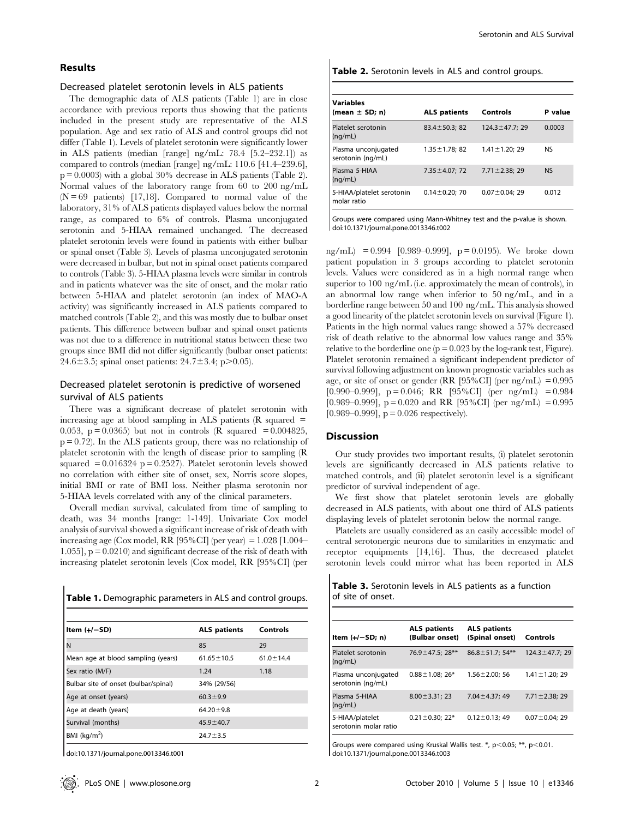#### Results

#### Decreased platelet serotonin levels in ALS patients

The demographic data of ALS patients (Table 1) are in close accordance with previous reports thus showing that the patients included in the present study are representative of the ALS population. Age and sex ratio of ALS and control groups did not differ (Table 1). Levels of platelet serotonin were significantly lower in ALS patients (median [range] ng/mL: 78.4 [5.2–232.1]) as compared to controls (median [range] ng/mL: 110.6 [41.4–239.6], p = 0.0003) with a global 30% decrease in ALS patients (Table 2). Normal values of the laboratory range from 60 to 200 ng/mL  $(N = 69$  patients) [17,18]. Compared to normal value of the laboratory, 31% of ALS patients displayed values below the normal range, as compared to 6% of controls. Plasma unconjugated serotonin and 5-HIAA remained unchanged. The decreased platelet serotonin levels were found in patients with either bulbar or spinal onset (Table 3). Levels of plasma unconjugated serotonin were decreased in bulbar, but not in spinal onset patients compared to controls (Table 3). 5-HIAA plasma levels were similar in controls and in patients whatever was the site of onset, and the molar ratio between 5-HIAA and platelet serotonin (an index of MAO-A activity) was significantly increased in ALS patients compared to matched controls (Table 2), and this was mostly due to bulbar onset patients. This difference between bulbar and spinal onset patients was not due to a difference in nutritional status between these two groups since BMI did not differ significantly (bulbar onset patients: 24.6 $\pm$ 3.5; spinal onset patients: 24.7 $\pm$ 3.4; p $>$ 0.05).

#### Decreased platelet serotonin is predictive of worsened survival of ALS patients

There was a significant decrease of platelet serotonin with increasing age at blood sampling in ALS patients  $(R \text{ squared} =$ 0.053,  $p = 0.0365$  but not in controls (R squared  $= 0.004825$ ,  $p = 0.72$ ). In the ALS patients group, there was no relationship of platelet serotonin with the length of disease prior to sampling (R squared  $= 0.016324$  p  $= 0.2527$ ). Platelet serotonin levels showed no correlation with either site of onset, sex, Norris score slopes, initial BMI or rate of BMI loss. Neither plasma serotonin nor 5-HIAA levels correlated with any of the clinical parameters.

Overall median survival, calculated from time of sampling to death, was 34 months [range: 1-149]. Univariate Cox model analysis of survival showed a significant increase of risk of death with increasing age (Cox model, RR [95%CI] (per year) =  $1.028$  [1.004– 1.055],  $p = 0.0210$  and significant decrease of the risk of death with increasing platelet serotonin levels (Cox model, RR [95%CI] (per

|  |  |  | Table 1. Demographic parameters in ALS and control groups. |
|--|--|--|------------------------------------------------------------|
|--|--|--|------------------------------------------------------------|

| l Item (+/−SD)                       | <b>ALS</b> patients | Controls        |
|--------------------------------------|---------------------|-----------------|
| N                                    | 85                  | 29              |
| Mean age at blood sampling (years)   | $61.65 \pm 10.5$    | $61.0 \pm 14.4$ |
| Sex ratio (M/F)                      | 1.24                | 1.18            |
| Bulbar site of onset (bulbar/spinal) | 34% (29/56)         |                 |
| Age at onset (years)                 | $60.3 + 9.9$        |                 |
| Age at death (years)                 | $64.20 \pm 9.8$     |                 |
| Survival (months)                    | $45.9 \pm 40.7$     |                 |
| BMI ( $kg/m2$ )                      | $24.7 \pm 3.5$      |                 |

doi:10.1371/journal.pone.0013346.t001

|  | Table 2. Serotonin levels in ALS and control groups. |  |  |  |  |  |
|--|------------------------------------------------------|--|--|--|--|--|
|--|------------------------------------------------------|--|--|--|--|--|

| <b>Variables</b><br>(mean $\pm$ SD; n)   | <b>ALS patients</b>  | Controls              | P value   |
|------------------------------------------|----------------------|-----------------------|-----------|
| Platelet serotonin<br>(nq/mL)            | $83.4 \pm 50.3$ ; 82 | $124.3 \pm 47.7$ ; 29 | 0.0003    |
| Plasma unconjugated<br>serotonin (ng/mL) | $1.35 \pm 1.78$ : 82 | $1.41 \pm 1.20$ : 29  | <b>NS</b> |
| Plasma 5-HIAA<br>(nq/mL)                 | $7.35 \pm 4.07$ : 72 | $7.71 \pm 2.38$ : 29  | <b>NS</b> |
| 5-HIAA/platelet serotonin<br>molar ratio | $0.14 \pm 0.20$ : 70 | $0.07 \pm 0.04$ : 29  | 0.012     |

Groups were compared using Mann-Whitney test and the p-value is shown. doi:10.1371/journal.pone.0013346.t002

ng/mL) = 0.994 [0.989-0.999], p = 0.0195). We broke down patient population in 3 groups according to platelet serotonin levels. Values were considered as in a high normal range when superior to 100 ng/mL (i.e. approximately the mean of controls), in an abnormal low range when inferior to 50 ng/mL, and in a borderline range between 50 and 100 ng/mL. This analysis showed a good linearity of the platelet serotonin levels on survival (Figure 1). Patients in the high normal values range showed a 57% decreased risk of death relative to the abnormal low values range and 35% relative to the borderline one ( $p = 0.023$  by the log-rank test, Figure). Platelet serotonin remained a significant independent predictor of survival following adjustment on known prognostic variables such as age, or site of onset or gender (RR [95%CI] (per ng/mL) =  $0.995$ [0.990–0.999], p = 0.046; RR [95%CI] (per ng/mL) = 0.984 [0.989–0.999],  $p = 0.020$  and RR [95%CI] (per ng/mL) = 0.995  $[0.989-0.999]$ ,  $p = 0.026$  respectively).

#### **Discussion**

Our study provides two important results, (i) platelet serotonin levels are significantly decreased in ALS patients relative to matched controls, and (ii) platelet serotonin level is a significant predictor of survival independent of age.

We first show that platelet serotonin levels are globally decreased in ALS patients, with about one third of ALS patients displaying levels of platelet serotonin below the normal range.

Platelets are usually considered as an easily accessible model of central serotonergic neurons due to similarities in enzymatic and receptor equipments [14,16]. Thus, the decreased platelet serotonin levels could mirror what has been reported in ALS

|                   | <b>Table 3.</b> Serotonin levels in ALS patients as a function |  |  |  |
|-------------------|----------------------------------------------------------------|--|--|--|
| of site of onset. |                                                                |  |  |  |

| Item $(+/-SD; n)$                        | <b>ALS</b> patients<br>(Bulbar onset) | <b>ALS patients</b><br>(Spinal onset) | Controls              |
|------------------------------------------|---------------------------------------|---------------------------------------|-----------------------|
| Platelet serotonin<br>(nq/mL)            | $76.9 \pm 47.5$ ; 28**                | $86.8 \pm 51.7$ ; 54**                | $124.3 \pm 47.7$ ; 29 |
| Plasma unconjugated<br>serotonin (ng/mL) | $0.88 \pm 1.08$ : 26*                 | $1.56 \pm 2.00$ : 56                  | $1.41 \pm 1.20$ : 29  |
| Plasma 5-HIAA<br>(nq/mL)                 | $8.00 \pm 3.31$ ; 23                  | $7.04 \pm 4.37$ : 49                  | $7.71 \pm 2.38$ : 29  |
| 5-HIAA/platelet<br>serotonin molar ratio | $0.21 \pm 0.30$ : 22*                 | $0.12 \pm 0.13$ : 49                  | $0.07 \pm 0.04$ : 29  |

Groups were compared using Kruskal Wallis test.  $*$ , p $<$ 0.05;  $**$ , p $<$ 0.01. doi:10.1371/journal.pone.0013346.t003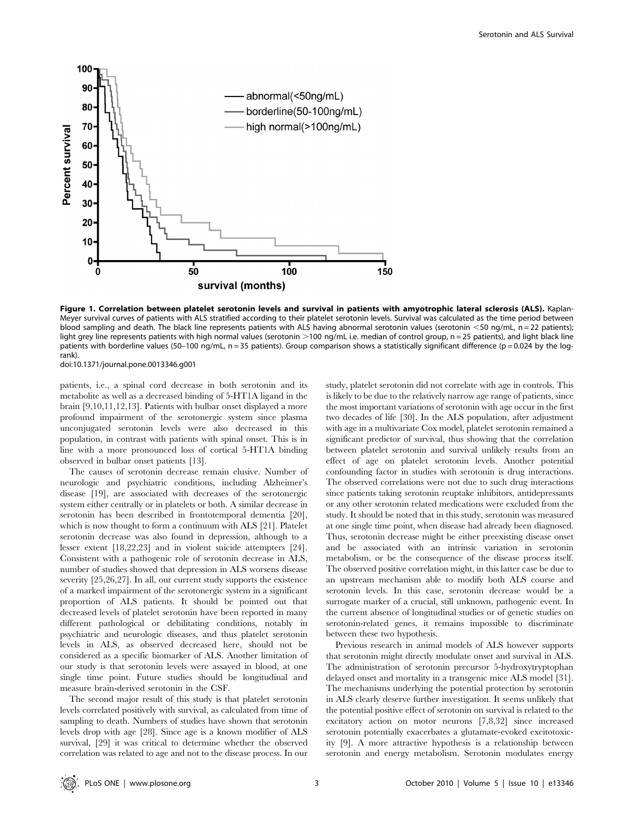

Figure 1. Correlation between platelet serotonin levels and survival in patients with amyotrophic lateral sclerosis (ALS). Kaplan-Meyer survival curves of patients with ALS stratified according to their platelet serotonin levels. Survival was calculated as the time period between blood sampling and death. The black line represents patients with ALS having abnormal serotonin values (serotonin  $\leq$ 50 ng/mL, n = 22 patients); light grey line represents patients with high normal values (serotonin >100 ng/mL i.e. median of control group, n = 25 patients), and light black line patients with borderline values (50–100 ng/mL,  $n = 35$  patients). Group comparison shows a statistically significant difference ( $p = 0.024$  by the logrank).

doi:10.1371/journal.pone.0013346.g001

patients, i.e., a spinal cord decrease in both serotonin and its metabolite as well as a decreased binding of 5-HT1A ligand in the brain [9,10,11,12,13]. Patients with bulbar onset displayed a more profound impairment of the serotonergic system since plasma unconjugated serotonin levels were also decreased in this population, in contrast with patients with spinal onset. This is in line with a more pronounced loss of cortical 5-HT1A binding observed in bulbar onset patients [13].

The causes of serotonin decrease remain elusive. Number of neurologic and psychiatric conditions, including Alzheimer's disease [19], are associated with decreases of the serotonergic system either centrally or in platelets or both. A similar decrease in serotonin has been described in frontotemporal dementia [20], which is now thought to form a continuum with ALS [21]. Platelet serotonin decrease was also found in depression, although to a lesser extent [18,22,23] and in violent suicide attempters [24]. Consistent with a pathogenic role of serotonin decrease in ALS, number of studies showed that depression in ALS worsens disease severity [25,26,27]. In all, our current study supports the existence of a marked impairment of the serotonergic system in a significant proportion of ALS patients. It should be pointed out that decreased levels of platelet serotonin have been reported in many different pathological or debilitating conditions, notably in psychiatric and neurologic diseases, and thus platelet serotonin levels in ALS, as observed decreased here, should not be considered as a specific biomarker of ALS. Another limitation of our study is that serotonin levels were assayed in blood, at one single time point. Future studies should be longitudinal and measure brain-derived serotonin in the CSF.

The second major result of this study is that platelet serotonin levels correlated positively with survival, as calculated from time of sampling to death. Numbers of studies have shown that serotonin levels drop with age [28]. Since age is a known modifier of ALS survival, [29] it was critical to determine whether the observed correlation was related to age and not to the disease process. In our

study, platelet serotonin did not correlate with age in controls. This is likely to be due to the relatively narrow age range of patients, since the most important variations of serotonin with age occur in the first two decades of life [30]. In the ALS population, after adjustment with age in a multivariate Cox model, platelet serotonin remained a significant predictor of survival, thus showing that the correlation between platelet serotonin and survival unlikely results from an effect of age on platelet serotonin levels. Another potential confounding factor in studies with serotonin is drug interactions. The observed correlations were not due to such drug interactions since patients taking serotonin reuptake inhibitors, antidepressants or any other serotonin related medications were excluded from the study. It should be noted that in this study, serotonin was measured at one single time point, when disease had already been diagnosed. Thus, serotonin decrease might be either preexisting disease onset and be associated with an intrinsic variation in serotonin metabolism, or be the consequence of the disease process itself. The observed positive correlation might, in this latter case be due to an upstream mechanism able to modify both ALS course and serotonin levels. In this case, serotonin decrease would be a surrogate marker of a crucial, still unknown, pathogenic event. In the current absence of longitudinal studies or of genetic studies on serotonin-related genes, it remains impossible to discriminate between these two hypothesis.

Previous research in animal models of ALS however supports that serotonin might directly modulate onset and survival in ALS. The administration of serotonin precursor 5-hydroxytryptophan delayed onset and mortality in a transgenic mice ALS model [31]. The mechanisms underlying the potential protection by serotonin in ALS clearly deserve further investigation. It seems unlikely that the potential positive effect of serotonin on survival is related to the excitatory action on motor neurons [7,8,32] since increased serotonin potentially exacerbates a glutamate-evoked excitotoxicity [9]. A more attractive hypothesis is a relationship between serotonin and energy metabolism. Serotonin modulates energy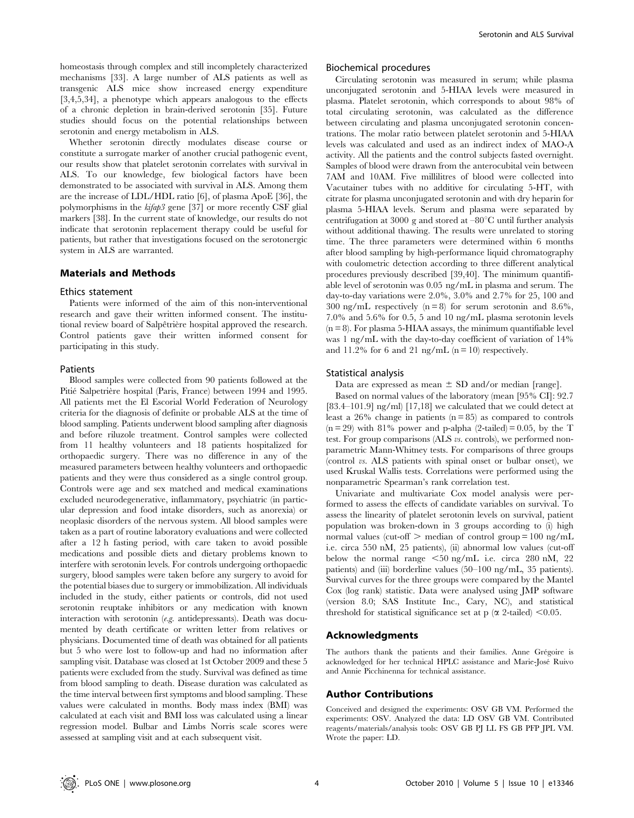homeostasis through complex and still incompletely characterized mechanisms [33]. A large number of ALS patients as well as transgenic ALS mice show increased energy expenditure [3,4,5,34], a phenotype which appears analogous to the effects of a chronic depletion in brain-derived serotonin [35]. Future studies should focus on the potential relationships between serotonin and energy metabolism in ALS.

Whether serotonin directly modulates disease course or constitute a surrogate marker of another crucial pathogenic event, our results show that platelet serotonin correlates with survival in ALS. To our knowledge, few biological factors have been demonstrated to be associated with survival in ALS. Among them are the increase of LDL/HDL ratio [6], of plasma ApoE [36], the polymorphisms in the  $kifa\beta$  gene [37] or more recently CSF glial markers [38]. In the current state of knowledge, our results do not indicate that serotonin replacement therapy could be useful for patients, but rather that investigations focused on the serotonergic system in ALS are warranted.

#### Materials and Methods

#### Ethics statement

Patients were informed of the aim of this non-interventional research and gave their written informed consent. The institutional review board of Salpêtrière hospital approved the research. Control patients gave their written informed consent for participating in this study.

#### Patients

Blood samples were collected from 90 patients followed at the Pitié Salpetrière hospital (Paris, France) between 1994 and 1995. All patients met the El Escorial World Federation of Neurology criteria for the diagnosis of definite or probable ALS at the time of blood sampling. Patients underwent blood sampling after diagnosis and before riluzole treatment. Control samples were collected from 11 healthy volunteers and 18 patients hospitalized for orthopaedic surgery. There was no difference in any of the measured parameters between healthy volunteers and orthopaedic patients and they were thus considered as a single control group. Controls were age and sex matched and medical examinations excluded neurodegenerative, inflammatory, psychiatric (in particular depression and food intake disorders, such as anorexia) or neoplasic disorders of the nervous system. All blood samples were taken as a part of routine laboratory evaluations and were collected after a 12 h fasting period, with care taken to avoid possible medications and possible diets and dietary problems known to interfere with serotonin levels. For controls undergoing orthopaedic surgery, blood samples were taken before any surgery to avoid for the potential biases due to surgery or immobilization. All individuals included in the study, either patients or controls, did not used serotonin reuptake inhibitors or any medication with known interaction with serotonin (e.g. antidepressants). Death was documented by death certificate or written letter from relatives or physicians. Documented time of death was obtained for all patients but 5 who were lost to follow-up and had no information after sampling visit. Database was closed at 1st October 2009 and these 5 patients were excluded from the study. Survival was defined as time from blood sampling to death. Disease duration was calculated as the time interval between first symptoms and blood sampling. These values were calculated in months. Body mass index (BMI) was calculated at each visit and BMI loss was calculated using a linear regression model. Bulbar and Limbs Norris scale scores were assessed at sampling visit and at each subsequent visit.

#### Biochemical procedures

Circulating serotonin was measured in serum; while plasma unconjugated serotonin and 5-HIAA levels were measured in plasma. Platelet serotonin, which corresponds to about 98% of total circulating serotonin, was calculated as the difference between circulating and plasma unconjugated serotonin concentrations. The molar ratio between platelet serotonin and 5-HIAA levels was calculated and used as an indirect index of MAO-A activity. All the patients and the control subjects fasted overnight. Samples of blood were drawn from the anterocubital vein between 7AM and 10AM. Five millilitres of blood were collected into Vacutainer tubes with no additive for circulating 5-HT, with citrate for plasma unconjugated serotonin and with dry heparin for plasma 5-HIAA levels. Serum and plasma were separated by centrifugation at 3000 g and stored at  $-80^{\circ}$ C until further analysis without additional thawing. The results were unrelated to storing time. The three parameters were determined within 6 months after blood sampling by high-performance liquid chromatography with coulometric detection according to three different analytical procedures previously described [39,40]. The minimum quantifiable level of serotonin was 0.05 ng/mL in plasma and serum. The day-to-day variations were 2.0%, 3.0% and 2.7% for 25, 100 and 300 ng/mL respectively  $(n=8)$  for serum serotonin and 8.6%, 7.0% and 5.6% for 0.5, 5 and 10 ng/mL plasma serotonin levels  $(n = 8)$ . For plasma 5-HIAA assays, the minimum quantifiable level was 1 ng/mL with the day-to-day coefficient of variation of 14% and 11.2% for 6 and 21 ng/mL  $(n = 10)$  respectively.

#### Statistical analysis

Data are expressed as mean  $\pm$  SD and/or median [range].

Based on normal values of the laboratory (mean [95% CI]: 92.7 [83.4–101.9] ng/ml) [17,18] we calculated that we could detect at least a  $26\%$  change in patients (n = 85) as compared to controls  $(n = 29)$  with 81% power and p-alpha  $(2$ -tailed) = 0.05, by the T test. For group comparisons (ALS vs. controls), we performed nonparametric Mann-Whitney tests. For comparisons of three groups (control vs. ALS patients with spinal onset or bulbar onset), we used Kruskal Wallis tests. Correlations were performed using the nonparametric Spearman's rank correlation test.

Univariate and multivariate Cox model analysis were performed to assess the effects of candidate variables on survival. To assess the linearity of platelet serotonin levels on survival, patient population was broken-down in 3 groups according to (i) high normal values (cut-off  $\geq$  median of control group = 100 ng/mL i.e. circa 550 nM, 25 patients), (ii) abnormal low values (cut-off below the normal range  $\leq 50$  ng/mL i.e. circa 280 nM, 22 patients) and (iii) borderline values (50–100 ng/mL, 35 patients). Survival curves for the three groups were compared by the Mantel Cox (log rank) statistic. Data were analysed using JMP software (version 8.0; SAS Institute Inc., Cary, NC), and statistical threshold for statistical significance set at p  $(\alpha$  2-tailed) <0.05.

#### Acknowledgments

The authors thank the patients and their families. Anne Grégoire is acknowledged for her technical HPLC assistance and Marie-Jose´ Ruivo and Annie Picchinenna for technical assistance.

#### Author Contributions

Conceived and designed the experiments: OSV GB VM. Performed the experiments: OSV. Analyzed the data: LD OSV GB VM. Contributed reagents/materials/analysis tools: OSV GB PJ LL FS GB PFP JPL VM. Wrote the paper: LD.